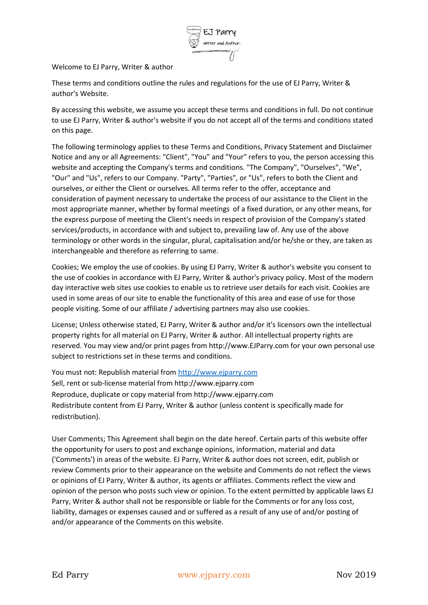

Welcome to EJ Parry, Writer & author

These terms and conditions outline the rules and regulations for the use of EJ Parry, Writer & author's Website.

By accessing this website, we assume you accept these terms and conditions in full. Do not continue to use EJ Parry, Writer & author's website if you do not accept all of the terms and conditions stated on this page.

The following terminology applies to these Terms and Conditions, Privacy Statement and Disclaimer Notice and any or all Agreements: "Client", "You" and "Your" refers to you, the person accessing this website and accepting the Company's terms and conditions. "The Company", "Ourselves", "We", "Our" and "Us", refers to our Company. "Party", "Parties", or "Us", refers to both the Client and ourselves, or either the Client or ourselves. All terms refer to the offer, acceptance and consideration of payment necessary to undertake the process of our assistance to the Client in the most appropriate manner, whether by formal meetings of a fixed duration, or any other means, for the express purpose of meeting the Client's needs in respect of provision of the Company's stated services/products, in accordance with and subject to, prevailing law of. Any use of the above terminology or other words in the singular, plural, capitalisation and/or he/she or they, are taken as interchangeable and therefore as referring to same.

Cookies; We employ the use of cookies. By using EJ Parry, Writer & author's website you consent to the use of cookies in accordance with EJ Parry, Writer & author's privacy policy. Most of the modern day interactive web sites use cookies to enable us to retrieve user details for each visit. Cookies are used in some areas of our site to enable the functionality of this area and ease of use for those people visiting. Some of our affiliate / advertising partners may also use cookies.

License; Unless otherwise stated, EJ Parry, Writer & author and/or it's licensors own the intellectual property rights for all material on EJ Parry, Writer & author. All intellectual property rights are reserved. You may view and/or print pages from http://www.EJParry.com for your own personal use subject to restrictions set in these terms and conditions.

You must not: Republish material fro[m http://www.ejparry.com](http://www.ejparry.com/) Sell, rent or sub-license material from http://www.ejparry.com Reproduce, duplicate or copy material from http://www.ejparry.com Redistribute content from EJ Parry, Writer & author (unless content is specifically made for redistribution).

User Comments; This Agreement shall begin on the date hereof. Certain parts of this website offer the opportunity for users to post and exchange opinions, information, material and data ('Comments') in areas of the website. EJ Parry, Writer & author does not screen, edit, publish or review Comments prior to their appearance on the website and Comments do not reflect the views or opinions of EJ Parry, Writer & author, its agents or affiliates. Comments reflect the view and opinion of the person who posts such view or opinion. To the extent permitted by applicable laws EJ Parry, Writer & author shall not be responsible or liable for the Comments or for any loss cost, liability, damages or expenses caused and or suffered as a result of any use of and/or posting of and/or appearance of the Comments on this website.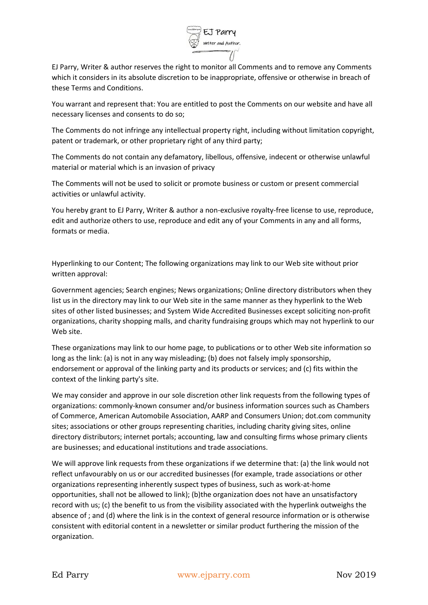

EJ Parry, Writer & author reserves the right to monitor all Comments and to remove any Comments which it considers in its absolute discretion to be inappropriate, offensive or otherwise in breach of these Terms and Conditions.

You warrant and represent that: You are entitled to post the Comments on our website and have all necessary licenses and consents to do so;

The Comments do not infringe any intellectual property right, including without limitation copyright, patent or trademark, or other proprietary right of any third party;

The Comments do not contain any defamatory, libellous, offensive, indecent or otherwise unlawful material or material which is an invasion of privacy

The Comments will not be used to solicit or promote business or custom or present commercial activities or unlawful activity.

You hereby grant to EJ Parry, Writer & author a non-exclusive royalty-free license to use, reproduce, edit and authorize others to use, reproduce and edit any of your Comments in any and all forms, formats or media.

Hyperlinking to our Content; The following organizations may link to our Web site without prior written approval:

Government agencies; Search engines; News organizations; Online directory distributors when they list us in the directory may link to our Web site in the same manner as they hyperlink to the Web sites of other listed businesses; and System Wide Accredited Businesses except soliciting non-profit organizations, charity shopping malls, and charity fundraising groups which may not hyperlink to our Web site.

These organizations may link to our home page, to publications or to other Web site information so long as the link: (a) is not in any way misleading; (b) does not falsely imply sponsorship, endorsement or approval of the linking party and its products or services; and (c) fits within the context of the linking party's site.

We may consider and approve in our sole discretion other link requests from the following types of organizations: commonly-known consumer and/or business information sources such as Chambers of Commerce, American Automobile Association, AARP and Consumers Union; dot.com community sites; associations or other groups representing charities, including charity giving sites, online directory distributors; internet portals; accounting, law and consulting firms whose primary clients are businesses; and educational institutions and trade associations.

We will approve link requests from these organizations if we determine that: (a) the link would not reflect unfavourably on us or our accredited businesses (for example, trade associations or other organizations representing inherently suspect types of business, such as work-at-home opportunities, shall not be allowed to link); (b)the organization does not have an unsatisfactory record with us; (c) the benefit to us from the visibility associated with the hyperlink outweighs the absence of ; and (d) where the link is in the context of general resource information or is otherwise consistent with editorial content in a newsletter or similar product furthering the mission of the organization.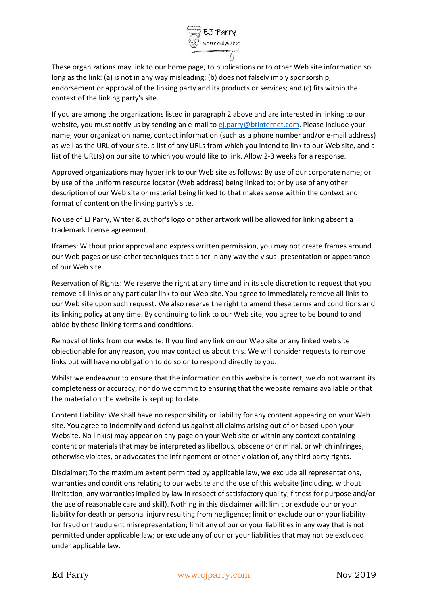

These organizations may link to our home page, to publications or to other Web site information so long as the link: (a) is not in any way misleading; (b) does not falsely imply sponsorship, endorsement or approval of the linking party and its products or services; and (c) fits within the context of the linking party's site.

If you are among the organizations listed in paragraph 2 above and are interested in linking to our website, you must notify us by sending an e-mail to [ej.parry@btinternet.com.](mailto:ej.parry@btinternet.com) Please include your name, your organization name, contact information (such as a phone number and/or e-mail address) as well as the URL of your site, a list of any URLs from which you intend to link to our Web site, and a list of the URL(s) on our site to which you would like to link. Allow 2-3 weeks for a response.

Approved organizations may hyperlink to our Web site as follows: By use of our corporate name; or by use of the uniform resource locator (Web address) being linked to; or by use of any other description of our Web site or material being linked to that makes sense within the context and format of content on the linking party's site.

No use of EJ Parry, Writer & author's logo or other artwork will be allowed for linking absent a trademark license agreement.

Iframes: Without prior approval and express written permission, you may not create frames around our Web pages or use other techniques that alter in any way the visual presentation or appearance of our Web site.

Reservation of Rights: We reserve the right at any time and in its sole discretion to request that you remove all links or any particular link to our Web site. You agree to immediately remove all links to our Web site upon such request. We also reserve the right to amend these terms and conditions and its linking policy at any time. By continuing to link to our Web site, you agree to be bound to and abide by these linking terms and conditions.

Removal of links from our website: If you find any link on our Web site or any linked web site objectionable for any reason, you may contact us about this. We will consider requests to remove links but will have no obligation to do so or to respond directly to you.

Whilst we endeavour to ensure that the information on this website is correct, we do not warrant its completeness or accuracy; nor do we commit to ensuring that the website remains available or that the material on the website is kept up to date.

Content Liability: We shall have no responsibility or liability for any content appearing on your Web site. You agree to indemnify and defend us against all claims arising out of or based upon your Website. No link(s) may appear on any page on your Web site or within any context containing content or materials that may be interpreted as libellous, obscene or criminal, or which infringes, otherwise violates, or advocates the infringement or other violation of, any third party rights.

Disclaimer; To the maximum extent permitted by applicable law, we exclude all representations, warranties and conditions relating to our website and the use of this website (including, without limitation, any warranties implied by law in respect of satisfactory quality, fitness for purpose and/or the use of reasonable care and skill). Nothing in this disclaimer will: limit or exclude our or your liability for death or personal injury resulting from negligence; limit or exclude our or your liability for fraud or fraudulent misrepresentation; limit any of our or your liabilities in any way that is not permitted under applicable law; or exclude any of our or your liabilities that may not be excluded under applicable law.